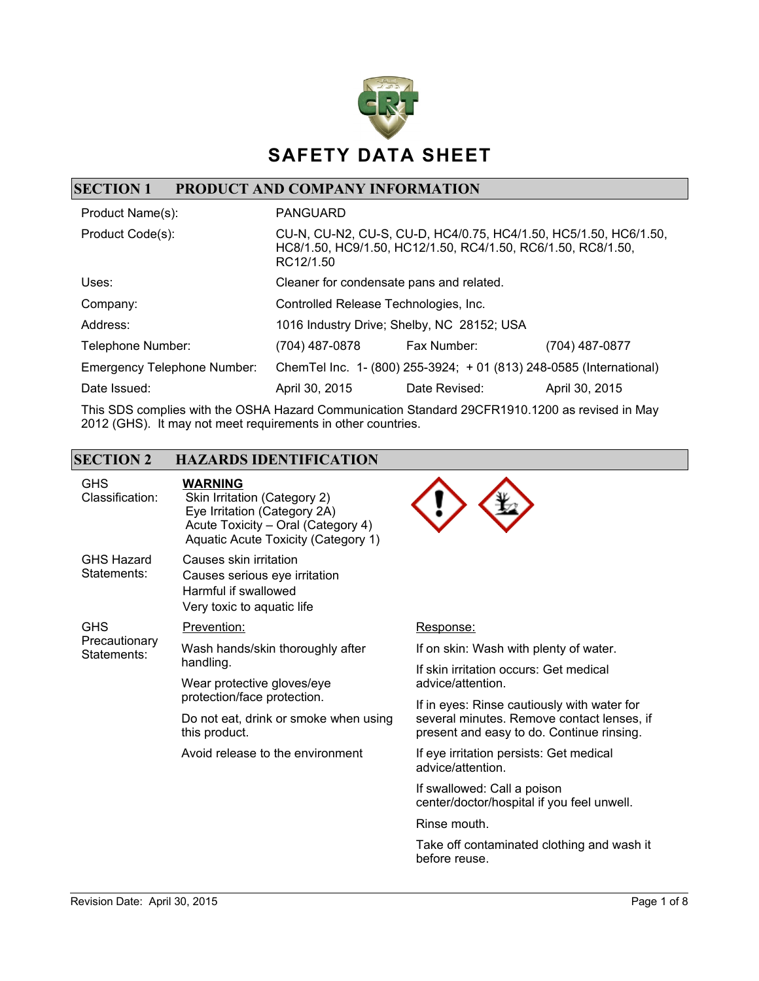

### **SECTION 1 PRODUCT AND COMPANY INFORMATION**

| Product Name(s):                   | <b>PANGUARD</b>                                                                                                                                |                                                                      |                |
|------------------------------------|------------------------------------------------------------------------------------------------------------------------------------------------|----------------------------------------------------------------------|----------------|
| Product Code(s):                   | CU-N, CU-N2, CU-S, CU-D, HC4/0.75, HC4/1.50, HC5/1.50, HC6/1.50,<br>HC8/1.50, HC9/1.50, HC12/1.50, RC4/1.50, RC6/1.50, RC8/1.50,<br>RC12/1.50  |                                                                      |                |
| Uses:                              | Cleaner for condensate pans and related.                                                                                                       |                                                                      |                |
| Company:                           | Controlled Release Technologies, Inc.                                                                                                          |                                                                      |                |
| Address:                           |                                                                                                                                                | 1016 Industry Drive; Shelby, NC 28152; USA                           |                |
| Telephone Number:                  | (704) 487-0878                                                                                                                                 | Fax Number:                                                          | (704) 487-0877 |
| <b>Emergency Telephone Number:</b> |                                                                                                                                                | Chem Tel Inc. 1- (800) 255-3924; + 01 (813) 248-0585 (International) |                |
| Date Issued:                       | April 30, 2015                                                                                                                                 | Date Revised:                                                        | April 30, 2015 |
|                                    | $\mathbf{u}$ $\mathbf{v}$ $\mathbf{v}$ $\mathbf{v}$ $\mathbf{v}$ $\mathbf{v}$ $\mathbf{v}$ $\mathbf{v}$ $\mathbf{v}$ $\mathbf{v}$ $\mathbf{v}$ |                                                                      |                |

This SDS complies with the OSHA Hazard Communication Standard 29CFR1910.1200 as revised in May 2012 (GHS). It may not meet requirements in other countries.

### **SECTION 2 HAZARDS IDENTIFICATION**

| <b>GHS</b><br>Classification:              | <b>WARNING</b><br>Skin Irritation (Category 2)<br>Eye Irritation (Category 2A)<br>Acute Toxicity - Oral (Category 4)<br>Aquatic Acute Toxicity (Category 1) |                                                                                         |
|--------------------------------------------|-------------------------------------------------------------------------------------------------------------------------------------------------------------|-----------------------------------------------------------------------------------------|
| <b>GHS Hazard</b><br>Statements:           | Causes skin irritation<br>Causes serious eye irritation<br>Harmful if swallowed<br>Very toxic to aquatic life                                               |                                                                                         |
| <b>GHS</b><br>Precautionary<br>Statements: | Prevention:                                                                                                                                                 | Response:                                                                               |
|                                            | Wash hands/skin thoroughly after<br>handling.<br>Wear protective gloves/eye<br>protection/face protection.                                                  | If on skin: Wash with plenty of water.                                                  |
|                                            |                                                                                                                                                             | If skin irritation occurs: Get medical<br>advice/attention.                             |
|                                            |                                                                                                                                                             | If in eyes: Rinse cautiously with water for                                             |
|                                            | Do not eat, drink or smoke when using<br>this product.                                                                                                      | several minutes. Remove contact lenses, if<br>present and easy to do. Continue rinsing. |
|                                            | Avoid release to the environment                                                                                                                            | If eye irritation persists: Get medical<br>advice/attention.                            |
|                                            |                                                                                                                                                             | If swallowed: Call a poison<br>center/doctor/hospital if you feel unwell.               |
|                                            |                                                                                                                                                             | Rinse mouth.                                                                            |
|                                            |                                                                                                                                                             | Take off contaminated clothing and wash it<br>before reuse.                             |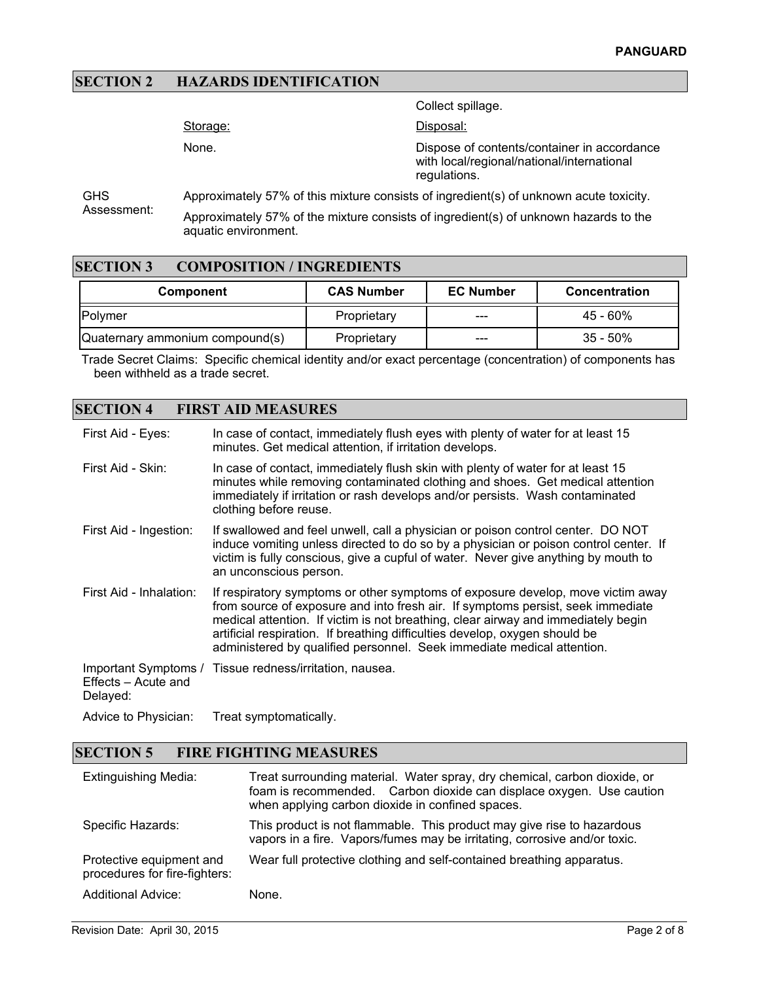#### **SECTION 2 HAZARDS IDENTIFICATION**

Collect spillage. Storage: None. Disposal: Dispose of contents/container in accordance with local/regional/national/international regulations.

**GHS** Assessment: Approximately 57% of this mixture consists of ingredient(s) of unknown acute toxicity. Approximately 57% of the mixture consists of ingredient(s) of unknown hazards to the

#### **SECTION 3 COMPOSITION / INGREDIENTS**

aquatic environment.

| <b>Component</b>                | <b>CAS Number</b> | <b>EC Number</b> | <b>Concentration</b> |
|---------------------------------|-------------------|------------------|----------------------|
| <b>IPolymer</b>                 | Proprietary       | ---              | 45 - 60%             |
| Quaternary ammonium compound(s) | Proprietary       | ---              | $35 - 50\%$          |

Trade Secret Claims: Specific chemical identity and/or exact percentage (concentration) of components has been withheld as a trade secret.

#### **SECTION 4 FIRST AID MEASURES**

| First Aid - Eyes:               | In case of contact, immediately flush eyes with plenty of water for at least 15<br>minutes. Get medical attention, if irritation develops.                                                                                                                                                                                                                                                                       |
|---------------------------------|------------------------------------------------------------------------------------------------------------------------------------------------------------------------------------------------------------------------------------------------------------------------------------------------------------------------------------------------------------------------------------------------------------------|
| First Aid - Skin:               | In case of contact, immediately flush skin with plenty of water for at least 15<br>minutes while removing contaminated clothing and shoes. Get medical attention<br>immediately if irritation or rash develops and/or persists. Wash contaminated<br>clothing before reuse.                                                                                                                                      |
| First Aid - Ingestion:          | If swallowed and feel unwell, call a physician or poison control center. DO NOT<br>induce vomiting unless directed to do so by a physician or poison control center. If<br>victim is fully conscious, give a cupful of water. Never give anything by mouth to<br>an unconscious person.                                                                                                                          |
| First Aid - Inhalation:         | If respiratory symptoms or other symptoms of exposure develop, move victim away<br>from source of exposure and into fresh air. If symptoms persist, seek immediate<br>medical attention. If victim is not breathing, clear airway and immediately begin<br>artificial respiration. If breathing difficulties develop, oxygen should be<br>administered by qualified personnel. Seek immediate medical attention. |
| Effects - Acute and<br>Delayed: | Important Symptoms / Tissue redness/irritation, nausea.                                                                                                                                                                                                                                                                                                                                                          |
| Advice to Physician:            | Treat symptomatically.                                                                                                                                                                                                                                                                                                                                                                                           |

#### **SECTION 5 FIRE FIGHTING MEASURES**

| <b>Extinguishing Media:</b>                               | Treat surrounding material. Water spray, dry chemical, carbon dioxide, or<br>foam is recommended. Carbon dioxide can displace oxygen. Use caution<br>when applying carbon dioxide in confined spaces. |
|-----------------------------------------------------------|-------------------------------------------------------------------------------------------------------------------------------------------------------------------------------------------------------|
| Specific Hazards:                                         | This product is not flammable. This product may give rise to hazardous<br>vapors in a fire. Vapors/fumes may be irritating, corrosive and/or toxic.                                                   |
| Protective equipment and<br>procedures for fire-fighters: | Wear full protective clothing and self-contained breathing apparatus.                                                                                                                                 |
| <b>Additional Advice:</b>                                 | None.                                                                                                                                                                                                 |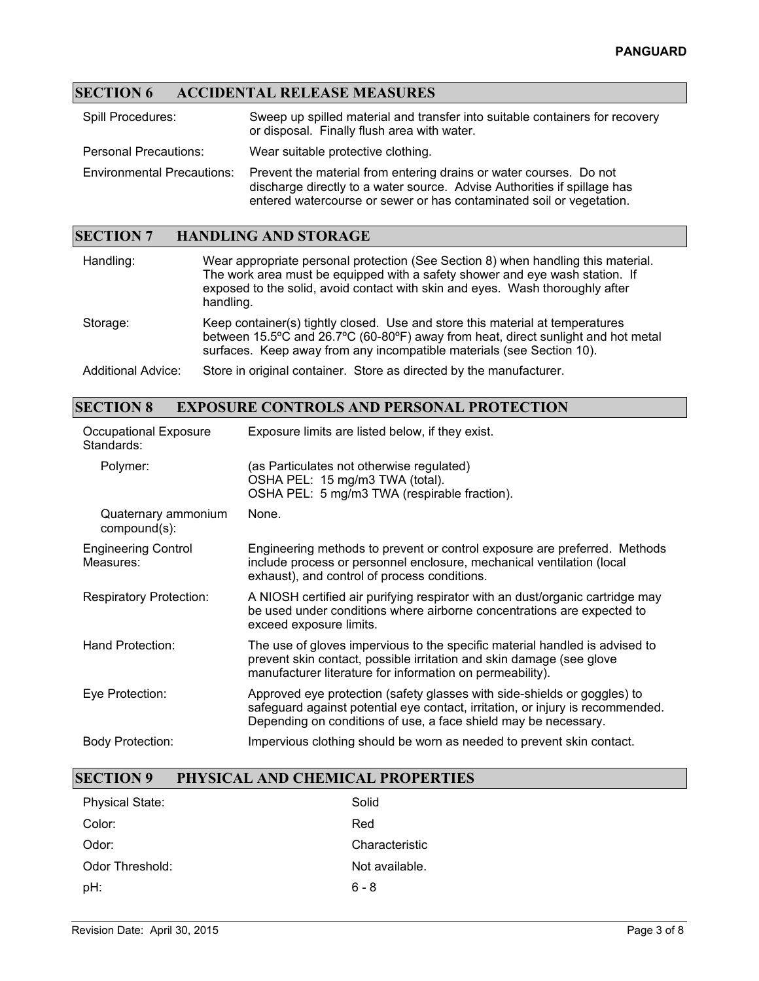## **SECTION 6 ACCIDENTAL RELEASE MEASURES**

| <b>Spill Procedures:</b>          | Sweep up spilled material and transfer into suitable containers for recovery<br>or disposal. Finally flush area with water.                                                                                            |
|-----------------------------------|------------------------------------------------------------------------------------------------------------------------------------------------------------------------------------------------------------------------|
| <b>Personal Precautions:</b>      | Wear suitable protective clothing.                                                                                                                                                                                     |
| <b>Environmental Precautions:</b> | Prevent the material from entering drains or water courses. Do not<br>discharge directly to a water source. Advise Authorities if spillage has<br>entered watercourse or sewer or has contaminated soil or vegetation. |

# **SECTION 7 HANDLING AND STORAGE**

| Handling:                 | Wear appropriate personal protection (See Section 8) when handling this material.<br>The work area must be equipped with a safety shower and eye wash station. If<br>exposed to the solid, avoid contact with skin and eyes. Wash thoroughly after<br>handling. |
|---------------------------|-----------------------------------------------------------------------------------------------------------------------------------------------------------------------------------------------------------------------------------------------------------------|
| Storage:                  | Keep container(s) tightly closed. Use and store this material at temperatures<br>between 15.5°C and 26.7°C (60-80°F) away from heat, direct sunlight and hot metal<br>surfaces. Keep away from any incompatible materials (see Section 10).                     |
| <b>Additional Advice:</b> | Store in original container. Store as directed by the manufacturer.                                                                                                                                                                                             |

## **SECTION 8 EXPOSURE CONTROLS AND PERSONAL PROTECTION**

| Occupational Exposure<br>Standards:     | Exposure limits are listed below, if they exist.                                                                                                                                                                              |
|-----------------------------------------|-------------------------------------------------------------------------------------------------------------------------------------------------------------------------------------------------------------------------------|
| Polymer:                                | (as Particulates not otherwise regulated)<br>OSHA PEL: 15 mg/m3 TWA (total).<br>OSHA PEL: 5 mg/m3 TWA (respirable fraction).                                                                                                  |
| Quaternary ammonium<br>compound(s):     | None.                                                                                                                                                                                                                         |
| <b>Engineering Control</b><br>Measures: | Engineering methods to prevent or control exposure are preferred. Methods<br>include process or personnel enclosure, mechanical ventilation (local<br>exhaust), and control of process conditions.                            |
| <b>Respiratory Protection:</b>          | A NIOSH certified air purifying respirator with an dust/organic cartridge may<br>be used under conditions where airborne concentrations are expected to<br>exceed exposure limits.                                            |
| Hand Protection:                        | The use of gloves impervious to the specific material handled is advised to<br>prevent skin contact, possible irritation and skin damage (see glove<br>manufacturer literature for information on permeability).              |
| Eye Protection:                         | Approved eye protection (safety glasses with side-shields or goggles) to<br>safeguard against potential eye contact, irritation, or injury is recommended.<br>Depending on conditions of use, a face shield may be necessary. |
| Body Protection:                        | Impervious clothing should be worn as needed to prevent skin contact.                                                                                                                                                         |

# **SECTION 9 PHYSICAL AND CHEMICAL PROPERTIES**

| <b>Physical State:</b> | Solid          |
|------------------------|----------------|
| Color:                 | Red            |
| Odor:                  | Characteristic |
| Odor Threshold:        | Not available. |
| pH:                    | $6 - 8$        |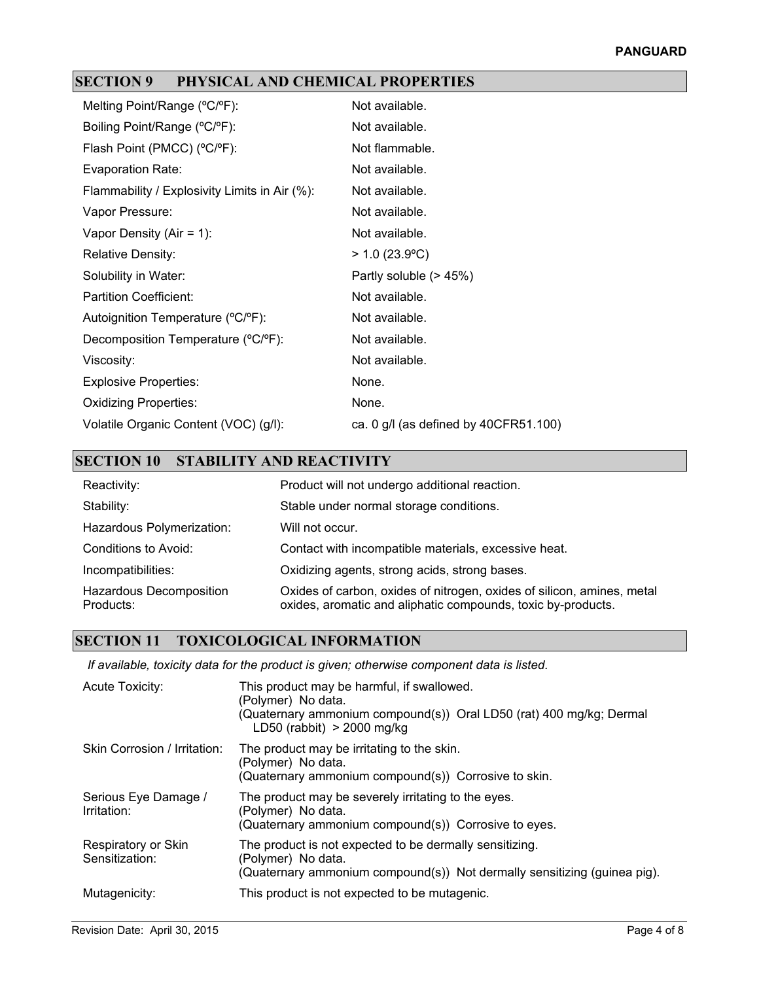## **SECTION 9 PHYSICAL AND CHEMICAL PROPERTIES**

| Melting Point/Range (°C/°F):                  | Not available.                          |
|-----------------------------------------------|-----------------------------------------|
| Boiling Point/Range (°C/°F):                  | Not available.                          |
| Flash Point (PMCC) (°C/°F):                   | Not flammable.                          |
| Evaporation Rate:                             | Not available.                          |
| Flammability / Explosivity Limits in Air (%): | Not available.                          |
| Vapor Pressure:                               | Not available.                          |
| Vapor Density (Air = 1):                      | Not available.                          |
| Relative Density:                             | $> 1.0$ (23.9°C)                        |
| Solubility in Water:                          | Partly soluble (> 45%)                  |
| <b>Partition Coefficient:</b>                 | Not available.                          |
| Autoignition Temperature (°C/°F):             | Not available.                          |
| Decomposition Temperature (°C/°F):            | Not available.                          |
| Viscosity:                                    | Not available.                          |
| <b>Explosive Properties:</b>                  | None.                                   |
| <b>Oxidizing Properties:</b>                  | None.                                   |
| Volatile Organic Content (VOC) (g/l):         | ca. 0 $g/l$ (as defined by 40CFR51.100) |

# **SECTION 10 STABILITY AND REACTIVITY**

| Reactivity:                                 | Product will not undergo additional reaction.                                                                                          |
|---------------------------------------------|----------------------------------------------------------------------------------------------------------------------------------------|
| Stability:                                  | Stable under normal storage conditions.                                                                                                |
| Hazardous Polymerization:                   | Will not occur.                                                                                                                        |
| Conditions to Avoid:                        | Contact with incompatible materials, excessive heat.                                                                                   |
| Incompatibilities:                          | Oxidizing agents, strong acids, strong bases.                                                                                          |
| <b>Hazardous Decomposition</b><br>Products: | Oxides of carbon, oxides of nitrogen, oxides of silicon, amines, metal<br>oxides, aromatic and aliphatic compounds, toxic by-products. |

### **SECTION 11 TOXICOLOGICAL INFORMATION**

*If available, toxicity data for the product is given; otherwise component data is listed.*

| <b>Acute Toxicity:</b>                | This product may be harmful, if swallowed.<br>(Polymer) No data.<br>(Quaternary ammonium compound(s)) Oral LD50 (rat) 400 mg/kg; Dermal<br>$LD50$ (rabbit) > 2000 mg/kg |
|---------------------------------------|-------------------------------------------------------------------------------------------------------------------------------------------------------------------------|
| Skin Corrosion / Irritation:          | The product may be irritating to the skin.<br>(Polymer) No data.<br>(Quaternary ammonium compound(s)) Corrosive to skin.                                                |
| Serious Eye Damage /<br>Irritation:   | The product may be severely irritating to the eyes.<br>(Polymer) No data.<br>(Quaternary ammonium compound(s)) Corrosive to eyes.                                       |
| Respiratory or Skin<br>Sensitization: | The product is not expected to be dermally sensitizing.<br>(Polymer) No data.<br>(Quaternary ammonium compound(s)) Not dermally sensitizing (guinea pig).               |
| Mutagenicity:                         | This product is not expected to be mutagenic.                                                                                                                           |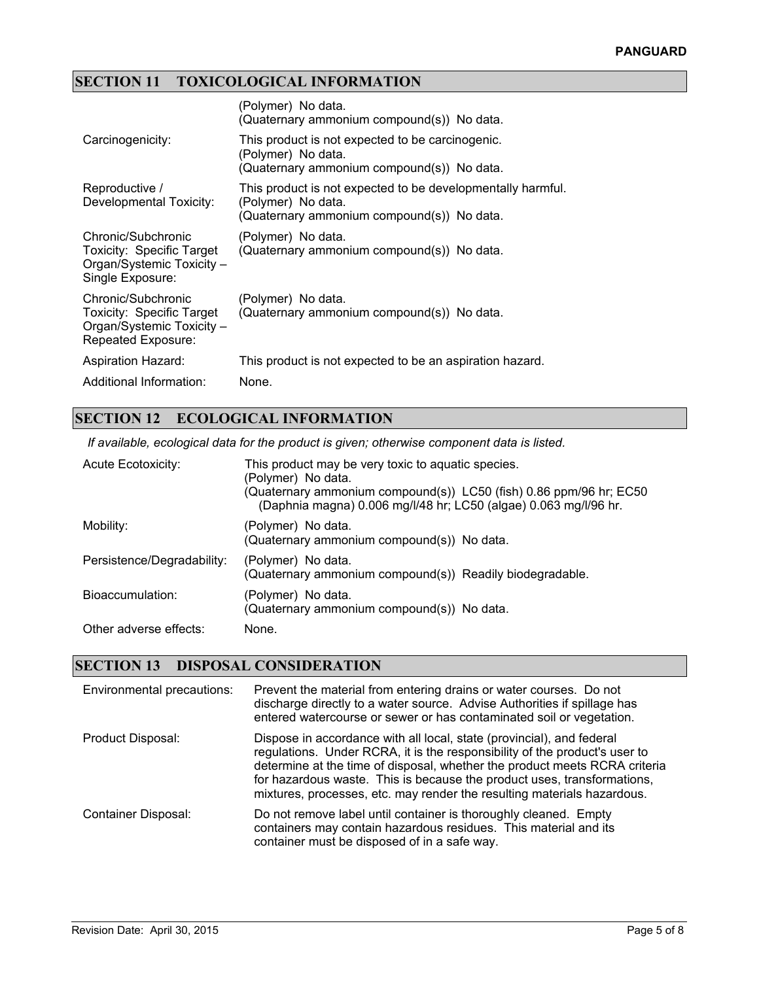# **SECTION 11 TOXICOLOGICAL INFORMATION**

|                                                                                                    | (Polymer) No data.<br>(Quaternary ammonium compound(s)) No data.                                                                |
|----------------------------------------------------------------------------------------------------|---------------------------------------------------------------------------------------------------------------------------------|
| Carcinogenicity:                                                                                   | This product is not expected to be carcinogenic.<br>(Polymer) No data.<br>(Quaternary ammonium compound(s)) No data.            |
| Reproductive /<br>Developmental Toxicity:                                                          | This product is not expected to be developmentally harmful.<br>(Polymer) No data.<br>(Quaternary ammonium compound(s)) No data. |
| Chronic/Subchronic<br>Toxicity: Specific Target<br>Organ/Systemic Toxicity -<br>Single Exposure:   | (Polymer) No data.<br>(Quaternary ammonium compound(s)) No data.                                                                |
| Chronic/Subchronic<br>Toxicity: Specific Target<br>Organ/Systemic Toxicity -<br>Repeated Exposure: | (Polymer) No data.<br>(Quaternary ammonium compound(s)) No data.                                                                |
| <b>Aspiration Hazard:</b>                                                                          | This product is not expected to be an aspiration hazard.                                                                        |
| Additional Information:                                                                            | None.                                                                                                                           |

### **SECTION 12 ECOLOGICAL INFORMATION**

*If available, ecological data for the product is given; otherwise component data is listed.*

| Acute Ecotoxicity:         | This product may be very toxic to aquatic species.<br>(Polymer) No data.<br>(Quaternary ammonium compound(s)) LC50 (fish) 0.86 ppm/96 hr; EC50<br>(Daphnia magna) 0.006 mg/l/48 hr; LC50 (algae) 0.063 mg/l/96 hr. |
|----------------------------|--------------------------------------------------------------------------------------------------------------------------------------------------------------------------------------------------------------------|
| Mobility:                  | (Polymer) No data.<br>(Quaternary ammonium compound(s)) No data.                                                                                                                                                   |
| Persistence/Degradability: | (Polymer) No data.<br>(Quaternary ammonium compound(s)) Readily biodegradable.                                                                                                                                     |
| Bioaccumulation:           | (Polymer) No data.<br>(Quaternary ammonium compound(s)) No data.                                                                                                                                                   |
| Other adverse effects:     | None.                                                                                                                                                                                                              |

### **SECTION 13 DISPOSAL CONSIDERATION**

| Environmental precautions: | Prevent the material from entering drains or water courses. Do not<br>discharge directly to a water source. Advise Authorities if spillage has<br>entered watercourse or sewer or has contaminated soil or vegetation.                                                                                                                                                                  |
|----------------------------|-----------------------------------------------------------------------------------------------------------------------------------------------------------------------------------------------------------------------------------------------------------------------------------------------------------------------------------------------------------------------------------------|
| Product Disposal:          | Dispose in accordance with all local, state (provincial), and federal<br>regulations. Under RCRA, it is the responsibility of the product's user to<br>determine at the time of disposal, whether the product meets RCRA criteria<br>for hazardous waste. This is because the product uses, transformations,<br>mixtures, processes, etc. may render the resulting materials hazardous. |
| <b>Container Disposal:</b> | Do not remove label until container is thoroughly cleaned. Empty<br>containers may contain hazardous residues. This material and its<br>container must be disposed of in a safe way.                                                                                                                                                                                                    |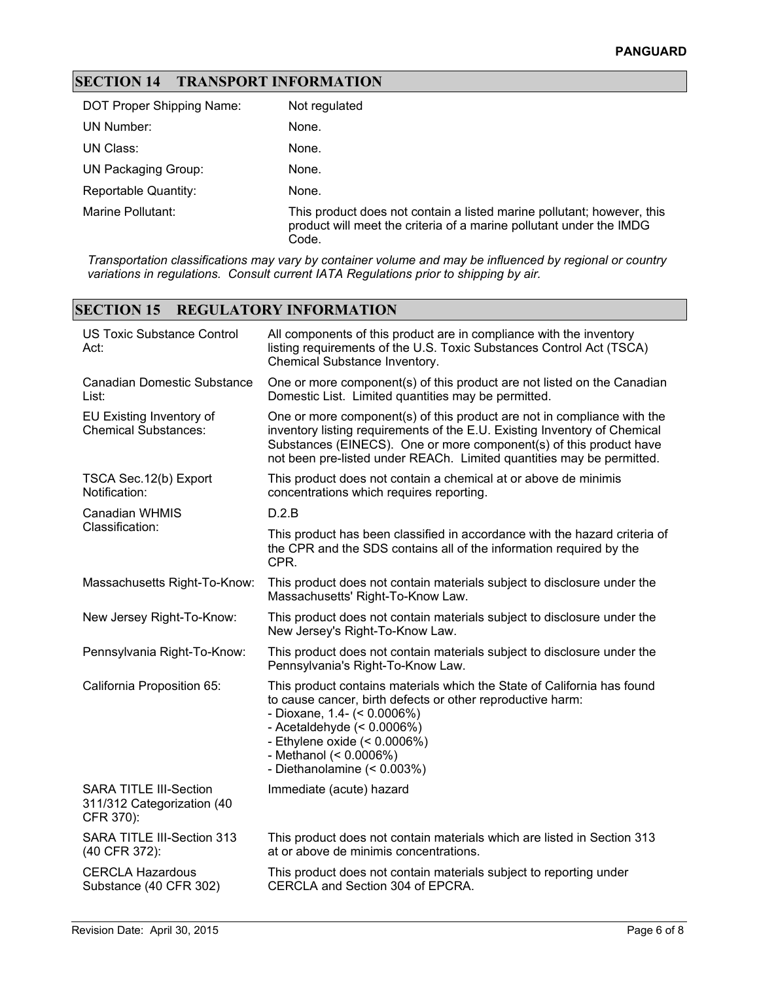## **SECTION 14 TRANSPORT INFORMATION**

| DOT Proper Shipping Name:   | Not regulated                                                                                                                                          |
|-----------------------------|--------------------------------------------------------------------------------------------------------------------------------------------------------|
| UN Number:                  | None.                                                                                                                                                  |
| UN Class:                   | None.                                                                                                                                                  |
| <b>UN Packaging Group:</b>  | None.                                                                                                                                                  |
| <b>Reportable Quantity:</b> | None.                                                                                                                                                  |
| Marine Pollutant:           | This product does not contain a listed marine pollutant; however, this<br>product will meet the criteria of a marine pollutant under the IMDG<br>Code. |

*Transportation classifications may vary by container volume and may be influenced by regional or country variations in regulations. Consult current IATA Regulations prior to shipping by air.*

## **SECTION 15 REGULATORY INFORMATION**

| <b>US Toxic Substance Control</b><br>Act:                                | All components of this product are in compliance with the inventory<br>listing requirements of the U.S. Toxic Substances Control Act (TSCA)<br>Chemical Substance Inventory.                                                                                                                            |  |  |
|--------------------------------------------------------------------------|---------------------------------------------------------------------------------------------------------------------------------------------------------------------------------------------------------------------------------------------------------------------------------------------------------|--|--|
| <b>Canadian Domestic Substance</b><br>List:                              | One or more component(s) of this product are not listed on the Canadian<br>Domestic List. Limited quantities may be permitted.                                                                                                                                                                          |  |  |
| EU Existing Inventory of<br><b>Chemical Substances:</b>                  | One or more component(s) of this product are not in compliance with the<br>inventory listing requirements of the E.U. Existing Inventory of Chemical<br>Substances (EINECS). One or more component(s) of this product have<br>not been pre-listed under REACh. Limited quantities may be permitted.     |  |  |
| TSCA Sec. 12(b) Export<br>Notification:                                  | This product does not contain a chemical at or above de minimis<br>concentrations which requires reporting.                                                                                                                                                                                             |  |  |
| <b>Canadian WHMIS</b>                                                    | D.2.B                                                                                                                                                                                                                                                                                                   |  |  |
| Classification:                                                          | This product has been classified in accordance with the hazard criteria of<br>the CPR and the SDS contains all of the information required by the<br>CPR.                                                                                                                                               |  |  |
| Massachusetts Right-To-Know:                                             | This product does not contain materials subject to disclosure under the<br>Massachusetts' Right-To-Know Law.                                                                                                                                                                                            |  |  |
| New Jersey Right-To-Know:                                                | This product does not contain materials subject to disclosure under the<br>New Jersey's Right-To-Know Law.                                                                                                                                                                                              |  |  |
| Pennsylvania Right-To-Know:                                              | This product does not contain materials subject to disclosure under the<br>Pennsylvania's Right-To-Know Law.                                                                                                                                                                                            |  |  |
| California Proposition 65:                                               | This product contains materials which the State of California has found<br>to cause cancer, birth defects or other reproductive harm:<br>- Dioxane, 1.4- $($ < 0.0006%)<br>- Acetaldehyde $(< 0.0006\%)$<br>- Ethylene oxide $(< 0.0006\%)$<br>- Methanol (< 0.0006%)<br>- Diethanolamine $(< 0.003\%)$ |  |  |
| <b>SARA TITLE III-Section</b><br>311/312 Categorization (40<br>CFR 370): | Immediate (acute) hazard                                                                                                                                                                                                                                                                                |  |  |
| SARA TITLE III-Section 313<br>(40 CFR 372):                              | This product does not contain materials which are listed in Section 313<br>at or above de minimis concentrations.                                                                                                                                                                                       |  |  |
| <b>CERCLA Hazardous</b><br>Substance (40 CFR 302)                        | This product does not contain materials subject to reporting under<br>CERCLA and Section 304 of EPCRA.                                                                                                                                                                                                  |  |  |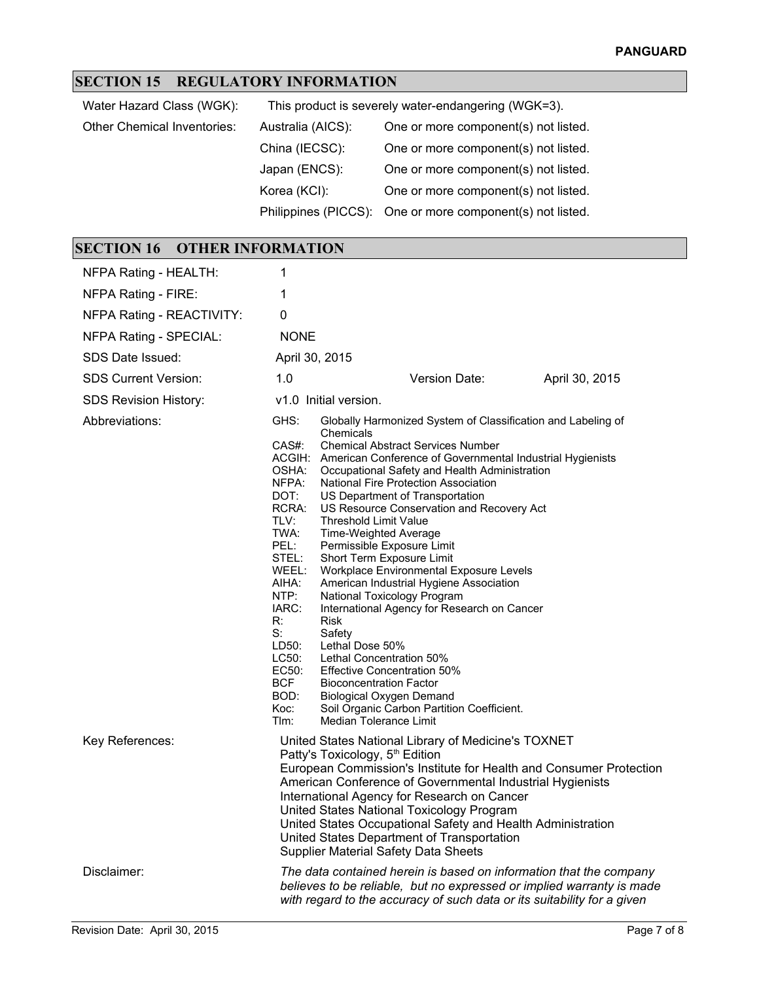# **SECTION 15 REGULATORY INFORMATION**

| Water Hazard Class (WGK):          | This product is severely water-endangering (WGK=3). |                                                           |  |  |
|------------------------------------|-----------------------------------------------------|-----------------------------------------------------------|--|--|
| <b>Other Chemical Inventories:</b> | Australia (AICS):                                   | One or more component(s) not listed.                      |  |  |
|                                    | China (IECSC):                                      | One or more component(s) not listed.                      |  |  |
|                                    | Japan (ENCS):                                       | One or more component(s) not listed.                      |  |  |
|                                    | Korea (KCI):                                        | One or more component(s) not listed.                      |  |  |
|                                    |                                                     | Philippines (PICCS): One or more component(s) not listed. |  |  |

# **SECTION 16 OTHER INFORMATION**

| NFPA Rating - HEALTH:        | 1                                                                                                                                                                                                                                                                                                                                                                                                                                                                                             |                                                                                                                                                                                                                                                                                                                                                                                                                                                                                                                                                                                                                                                                                                                                                                                              |  |  |
|------------------------------|-----------------------------------------------------------------------------------------------------------------------------------------------------------------------------------------------------------------------------------------------------------------------------------------------------------------------------------------------------------------------------------------------------------------------------------------------------------------------------------------------|----------------------------------------------------------------------------------------------------------------------------------------------------------------------------------------------------------------------------------------------------------------------------------------------------------------------------------------------------------------------------------------------------------------------------------------------------------------------------------------------------------------------------------------------------------------------------------------------------------------------------------------------------------------------------------------------------------------------------------------------------------------------------------------------|--|--|
| NFPA Rating - FIRE:          | 1                                                                                                                                                                                                                                                                                                                                                                                                                                                                                             |                                                                                                                                                                                                                                                                                                                                                                                                                                                                                                                                                                                                                                                                                                                                                                                              |  |  |
| NFPA Rating - REACTIVITY:    | 0                                                                                                                                                                                                                                                                                                                                                                                                                                                                                             |                                                                                                                                                                                                                                                                                                                                                                                                                                                                                                                                                                                                                                                                                                                                                                                              |  |  |
| NFPA Rating - SPECIAL:       | <b>NONE</b>                                                                                                                                                                                                                                                                                                                                                                                                                                                                                   |                                                                                                                                                                                                                                                                                                                                                                                                                                                                                                                                                                                                                                                                                                                                                                                              |  |  |
| SDS Date Issued:             | April 30, 2015                                                                                                                                                                                                                                                                                                                                                                                                                                                                                |                                                                                                                                                                                                                                                                                                                                                                                                                                                                                                                                                                                                                                                                                                                                                                                              |  |  |
| <b>SDS Current Version:</b>  | 1.0<br>Version Date:<br>April 30, 2015                                                                                                                                                                                                                                                                                                                                                                                                                                                        |                                                                                                                                                                                                                                                                                                                                                                                                                                                                                                                                                                                                                                                                                                                                                                                              |  |  |
| <b>SDS Revision History:</b> | v1.0 Initial version.                                                                                                                                                                                                                                                                                                                                                                                                                                                                         |                                                                                                                                                                                                                                                                                                                                                                                                                                                                                                                                                                                                                                                                                                                                                                                              |  |  |
| Abbreviations:               | GHS:<br>CAS#:                                                                                                                                                                                                                                                                                                                                                                                                                                                                                 | Globally Harmonized System of Classification and Labeling of<br>Chemicals<br><b>Chemical Abstract Services Number</b>                                                                                                                                                                                                                                                                                                                                                                                                                                                                                                                                                                                                                                                                        |  |  |
|                              | OSHA:<br>NFPA:<br>DOT:<br>RCRA:<br>TLV:<br>TWA:<br>PEL:<br>STEL:<br>WEEL:<br>AIHA:<br>NTP:<br>IARC:<br>R:<br>S:<br>LD50:<br>LC50:<br>EC50:<br><b>BCF</b><br>BOD:<br>Koc:<br>Tlm:                                                                                                                                                                                                                                                                                                              | ACGIH: American Conference of Governmental Industrial Hygienists<br>Occupational Safety and Health Administration<br>National Fire Protection Association<br>US Department of Transportation<br>US Resource Conservation and Recovery Act<br>Threshold Limit Value<br>Time-Weighted Average<br>Permissible Exposure Limit<br>Short Term Exposure Limit<br>Workplace Environmental Exposure Levels<br>American Industrial Hygiene Association<br>National Toxicology Program<br>International Agency for Research on Cancer<br><b>Risk</b><br>Safety<br>Lethal Dose 50%<br>Lethal Concentration 50%<br><b>Effective Concentration 50%</b><br><b>Bioconcentration Factor</b><br><b>Biological Oxygen Demand</b><br>Soil Organic Carbon Partition Coefficient.<br><b>Median Tolerance Limit</b> |  |  |
| Key References:              | United States National Library of Medicine's TOXNET<br>Patty's Toxicology, 5 <sup>th</sup> Edition<br>European Commission's Institute for Health and Consumer Protection<br>American Conference of Governmental Industrial Hygienists<br>International Agency for Research on Cancer<br>United States National Toxicology Program<br>United States Occupational Safety and Health Administration<br>United States Department of Transportation<br><b>Supplier Material Safety Data Sheets</b> |                                                                                                                                                                                                                                                                                                                                                                                                                                                                                                                                                                                                                                                                                                                                                                                              |  |  |
| Disclaimer:                  |                                                                                                                                                                                                                                                                                                                                                                                                                                                                                               | The data contained herein is based on information that the company<br>believes to be reliable, but no expressed or implied warranty is made<br>with regard to the accuracy of such data or its suitability for a given                                                                                                                                                                                                                                                                                                                                                                                                                                                                                                                                                                       |  |  |